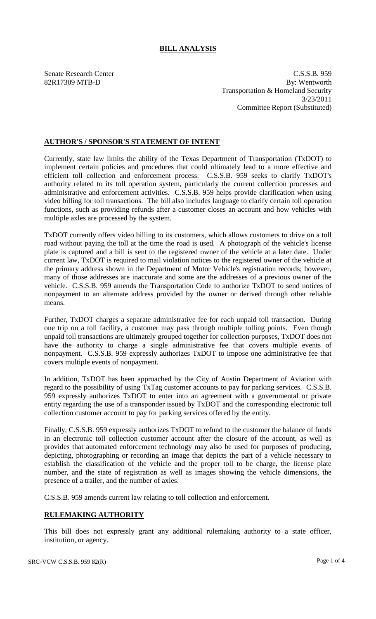## **BILL ANALYSIS**

Senate Research Center C.S.S.B. 959 82R17309 MTB-D By: Wentworth Transportation & Homeland Security 3/23/2011 Committee Report (Substituted)

## **AUTHOR'S / SPONSOR'S STATEMENT OF INTENT**

Currently, state law limits the ability of the Texas Department of Transportation (TxDOT) to implement certain policies and procedures that could ultimately lead to a more effective and efficient toll collection and enforcement process. C.S.S.B. 959 seeks to clarify TxDOT's authority related to its toll operation system, particularly the current collection processes and administrative and enforcement activities. C.S.S.B. 959 helps provide clarification when using video billing for toll transactions. The bill also includes language to clarify certain toll operation functions, such as providing refunds after a customer closes an account and how vehicles with multiple axles are processed by the system.

TxDOT currently offers video billing to its customers, which allows customers to drive on a toll road without paying the toll at the time the road is used. A photograph of the vehicle's license plate is captured and a bill is sent to the registered owner of the vehicle at a later date. Under current law, TxDOT is required to mail violation notices to the registered owner of the vehicle at the primary address shown in the Department of Motor Vehicle's registration records; however, many of those addresses are inaccurate and some are the addresses of a previous owner of the vehicle. C.S.S.B. 959 amends the Transportation Code to authorize TxDOT to send notices of nonpayment to an alternate address provided by the owner or derived through other reliable means.

Further, TxDOT charges a separate administrative fee for each unpaid toll transaction. During one trip on a toll facility, a customer may pass through multiple tolling points. Even though unpaid toll transactions are ultimately grouped together for collection purposes, TxDOT does not have the authority to charge a single administrative fee that covers multiple events of nonpayment. C.S.S.B. 959 expressly authorizes TxDOT to impose one administrative fee that covers multiple events of nonpayment.

In addition, TxDOT has been approached by the City of Austin Department of Aviation with regard to the possibility of using TxTag customer accounts to pay for parking services. C.S.S.B. 959 expressly authorizes TxDOT to enter into an agreement with a governmental or private entity regarding the use of a transponder issued by TxDOT and the corresponding electronic toll collection customer account to pay for parking services offered by the entity.

Finally, C.S.S.B. 959 expressly authorizes TxDOT to refund to the customer the balance of funds in an electronic toll collection customer account after the closure of the account, as well as provides that automated enforcement technology may also be used for purposes of producing, depicting, photographing or recording an image that depicts the part of a vehicle necessary to establish the classification of the vehicle and the proper toll to be charge, the license plate number, and the state of registration as well as images showing the vehicle dimensions, the presence of a trailer, and the number of axles.

C.S.S.B. 959 amends current law relating to toll collection and enforcement.

## **RULEMAKING AUTHORITY**

This bill does not expressly grant any additional rulemaking authority to a state officer, institution, or agency.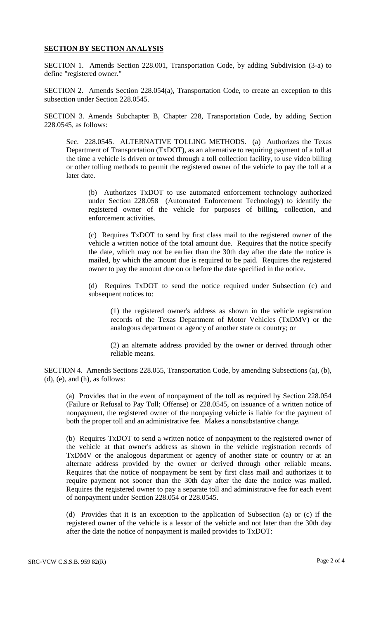## **SECTION BY SECTION ANALYSIS**

SECTION 1. Amends Section 228.001, Transportation Code, by adding Subdivision (3-a) to define "registered owner."

SECTION 2. Amends Section 228.054(a), Transportation Code, to create an exception to this subsection under Section 228.0545.

SECTION 3. Amends Subchapter B, Chapter 228, Transportation Code, by adding Section 228.0545, as follows:

Sec. 228.0545. ALTERNATIVE TOLLING METHODS. (a) Authorizes the Texas Department of Transportation (TxDOT), as an alternative to requiring payment of a toll at the time a vehicle is driven or towed through a toll collection facility, to use video billing or other tolling methods to permit the registered owner of the vehicle to pay the toll at a later date.

(b) Authorizes TxDOT to use automated enforcement technology authorized under Section 228.058 (Automated Enforcement Technology) to identify the registered owner of the vehicle for purposes of billing, collection, and enforcement activities.

(c) Requires TxDOT to send by first class mail to the registered owner of the vehicle a written notice of the total amount due. Requires that the notice specify the date, which may not be earlier than the 30th day after the date the notice is mailed, by which the amount due is required to be paid. Requires the registered owner to pay the amount due on or before the date specified in the notice.

(d) Requires TxDOT to send the notice required under Subsection (c) and subsequent notices to:

(1) the registered owner's address as shown in the vehicle registration records of the Texas Department of Motor Vehicles (TxDMV) or the analogous department or agency of another state or country; or

(2) an alternate address provided by the owner or derived through other reliable means.

SECTION 4. Amends Sections 228.055, Transportation Code, by amending Subsections (a), (b), (d), (e), and (h), as follows:

(a) Provides that in the event of nonpayment of the toll as required by Section 228.054 (Failure or Refusal to Pay Toll; Offense) or 228.0545, on issuance of a written notice of nonpayment, the registered owner of the nonpaying vehicle is liable for the payment of both the proper toll and an administrative fee. Makes a nonsubstantive change.

(b) Requires TxDOT to send a written notice of nonpayment to the registered owner of the vehicle at that owner's address as shown in the vehicle registration records of TxDMV or the analogous department or agency of another state or country or at an alternate address provided by the owner or derived through other reliable means. Requires that the notice of nonpayment be sent by first class mail and authorizes it to require payment not sooner than the 30th day after the date the notice was mailed. Requires the registered owner to pay a separate toll and administrative fee for each event of nonpayment under Section 228.054 or 228.0545.

(d) Provides that it is an exception to the application of Subsection (a) or (c) if the registered owner of the vehicle is a lessor of the vehicle and not later than the 30th day after the date the notice of nonpayment is mailed provides to TxDOT: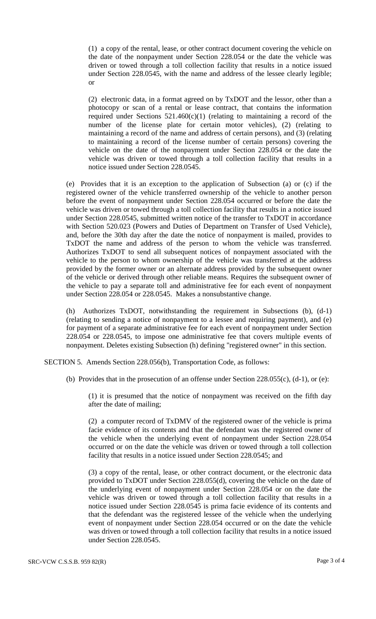(1) a copy of the rental, lease, or other contract document covering the vehicle on the date of the nonpayment under Section 228.054 or the date the vehicle was driven or towed through a toll collection facility that results in a notice issued under Section 228.0545, with the name and address of the lessee clearly legible; or

(2) electronic data, in a format agreed on by TxDOT and the lessor, other than a photocopy or scan of a rental or lease contract, that contains the information required under Sections  $521.460(c)(1)$  (relating to maintaining a record of the number of the license plate for certain motor vehicles), (2) (relating to maintaining a record of the name and address of certain persons), and (3) (relating to maintaining a record of the license number of certain persons) covering the vehicle on the date of the nonpayment under Section 228.054 or the date the vehicle was driven or towed through a toll collection facility that results in a notice issued under Section 228.0545.

(e) Provides that it is an exception to the application of Subsection (a) or (c) if the registered owner of the vehicle transferred ownership of the vehicle to another person before the event of nonpayment under Section 228.054 occurred or before the date the vehicle was driven or towed through a toll collection facility that results in a notice issued under Section 228.0545, submitted written notice of the transfer to TxDOT in accordance with Section 520.023 (Powers and Duties of Department on Transfer of Used Vehicle), and, before the 30th day after the date the notice of nonpayment is mailed, provides to TxDOT the name and address of the person to whom the vehicle was transferred. Authorizes TxDOT to send all subsequent notices of nonpayment associated with the vehicle to the person to whom ownership of the vehicle was transferred at the address provided by the former owner or an alternate address provided by the subsequent owner of the vehicle or derived through other reliable means. Requires the subsequent owner of the vehicle to pay a separate toll and administrative fee for each event of nonpayment under Section 228.054 or 228.0545. Makes a nonsubstantive change.

(h) Authorizes TxDOT, notwithstanding the requirement in Subsections (b), (d-1) (relating to sending a notice of nonpayment to a lessee and requiring payment), and (e) for payment of a separate administrative fee for each event of nonpayment under Section 228.054 or 228.0545, to impose one administrative fee that covers multiple events of nonpayment. Deletes existing Subsection (h) defining "registered owner" in this section.

SECTION 5. Amends Section 228.056(b), Transportation Code, as follows:

(b) Provides that in the prosecution of an offense under Section 228.055(c), (d-1), or (e):

(1) it is presumed that the notice of nonpayment was received on the fifth day after the date of mailing;

(2) a computer record of TxDMV of the registered owner of the vehicle is prima facie evidence of its contents and that the defendant was the registered owner of the vehicle when the underlying event of nonpayment under Section 228.054 occurred or on the date the vehicle was driven or towed through a toll collection facility that results in a notice issued under Section 228.0545; and

(3) a copy of the rental, lease, or other contract document, or the electronic data provided to TxDOT under Section 228.055(d), covering the vehicle on the date of the underlying event of nonpayment under Section 228.054 or on the date the vehicle was driven or towed through a toll collection facility that results in a notice issued under Section 228.0545 is prima facie evidence of its contents and that the defendant was the registered lessee of the vehicle when the underlying event of nonpayment under Section 228.054 occurred or on the date the vehicle was driven or towed through a toll collection facility that results in a notice issued under Section 228.0545.